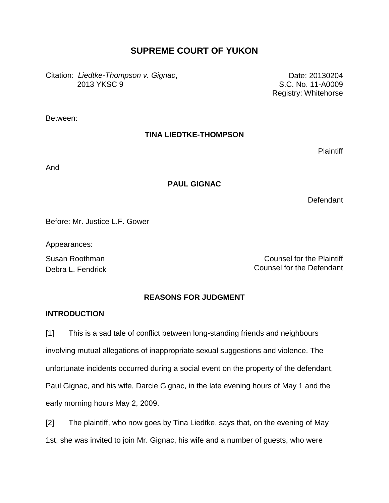# **SUPREME COURT OF YUKON**

Citation: *Liedtke-Thompson v. Gignac*, 2013 YKSC 9

Date: 20130204 S.C. No. 11-A0009 Registry: Whitehorse

Between:

## **TINA LIEDTKE-THOMPSON**

**Plaintiff** 

And

## **PAUL GIGNAC**

Defendant

Before: Mr. Justice L.F. Gower

Appearances:

Susan Roothman Counsel for the Plaintiff Debra L. Fendrick Counsel for the Defendant

## **REASONS FOR JUDGMENT**

## **INTRODUCTION**

[1] This is a sad tale of conflict between long-standing friends and neighbours involving mutual allegations of inappropriate sexual suggestions and violence. The unfortunate incidents occurred during a social event on the property of the defendant, Paul Gignac, and his wife, Darcie Gignac, in the late evening hours of May 1 and the early morning hours May 2, 2009.

[2] The plaintiff, who now goes by Tina Liedtke, says that, on the evening of May 1st, she was invited to join Mr. Gignac, his wife and a number of guests, who were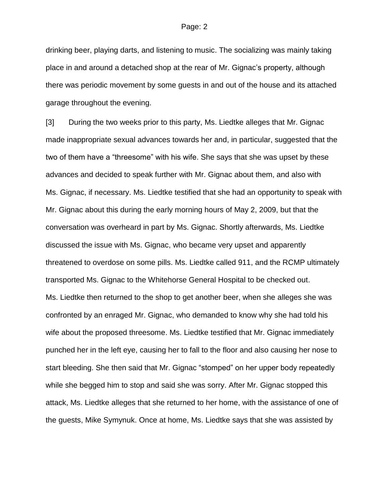drinking beer, playing darts, and listening to music. The socializing was mainly taking place in and around a detached shop at the rear of Mr. Gignac's property, although there was periodic movement by some guests in and out of the house and its attached garage throughout the evening.

[3] During the two weeks prior to this party, Ms. Liedtke alleges that Mr. Gignac made inappropriate sexual advances towards her and, in particular, suggested that the two of them have a "threesome" with his wife. She says that she was upset by these advances and decided to speak further with Mr. Gignac about them, and also with Ms. Gignac, if necessary. Ms. Liedtke testified that she had an opportunity to speak with Mr. Gignac about this during the early morning hours of May 2, 2009, but that the conversation was overheard in part by Ms. Gignac. Shortly afterwards, Ms. Liedtke discussed the issue with Ms. Gignac, who became very upset and apparently threatened to overdose on some pills. Ms. Liedtke called 911, and the RCMP ultimately transported Ms. Gignac to the Whitehorse General Hospital to be checked out. Ms. Liedtke then returned to the shop to get another beer, when she alleges she was confronted by an enraged Mr. Gignac, who demanded to know why she had told his wife about the proposed threesome. Ms. Liedtke testified that Mr. Gignac immediately punched her in the left eye, causing her to fall to the floor and also causing her nose to start bleeding. She then said that Mr. Gignac "stomped" on her upper body repeatedly while she begged him to stop and said she was sorry. After Mr. Gignac stopped this attack, Ms. Liedtke alleges that she returned to her home, with the assistance of one of the guests, Mike Symynuk. Once at home, Ms. Liedtke says that she was assisted by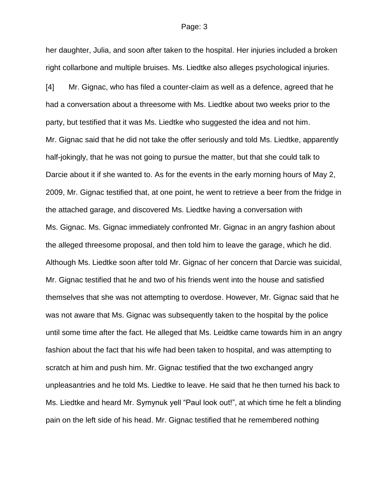her daughter, Julia, and soon after taken to the hospital. Her injuries included a broken right collarbone and multiple bruises. Ms. Liedtke also alleges psychological injuries.

[4] Mr. Gignac, who has filed a counter-claim as well as a defence, agreed that he had a conversation about a threesome with Ms. Liedtke about two weeks prior to the party, but testified that it was Ms. Liedtke who suggested the idea and not him. Mr. Gignac said that he did not take the offer seriously and told Ms. Liedtke, apparently half-jokingly, that he was not going to pursue the matter, but that she could talk to Darcie about it if she wanted to. As for the events in the early morning hours of May 2, 2009, Mr. Gignac testified that, at one point, he went to retrieve a beer from the fridge in the attached garage, and discovered Ms. Liedtke having a conversation with Ms. Gignac. Ms. Gignac immediately confronted Mr. Gignac in an angry fashion about the alleged threesome proposal, and then told him to leave the garage, which he did. Although Ms. Liedtke soon after told Mr. Gignac of her concern that Darcie was suicidal, Mr. Gignac testified that he and two of his friends went into the house and satisfied themselves that she was not attempting to overdose. However, Mr. Gignac said that he was not aware that Ms. Gignac was subsequently taken to the hospital by the police until some time after the fact. He alleged that Ms. Leidtke came towards him in an angry fashion about the fact that his wife had been taken to hospital, and was attempting to scratch at him and push him. Mr. Gignac testified that the two exchanged angry unpleasantries and he told Ms. Liedtke to leave. He said that he then turned his back to Ms. Liedtke and heard Mr. Symynuk yell "Paul look out!", at which time he felt a blinding pain on the left side of his head. Mr. Gignac testified that he remembered nothing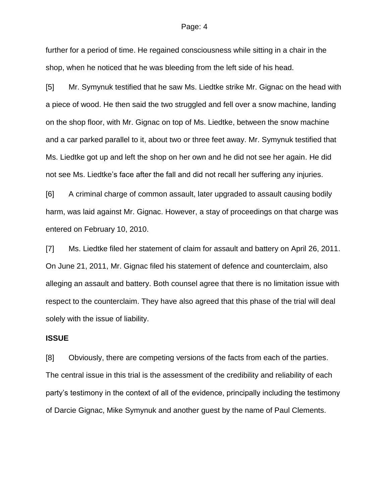further for a period of time. He regained consciousness while sitting in a chair in the shop, when he noticed that he was bleeding from the left side of his head.

[5] Mr. Symynuk testified that he saw Ms. Liedtke strike Mr. Gignac on the head with a piece of wood. He then said the two struggled and fell over a snow machine, landing on the shop floor, with Mr. Gignac on top of Ms. Liedtke, between the snow machine and a car parked parallel to it, about two or three feet away. Mr. Symynuk testified that Ms. Liedtke got up and left the shop on her own and he did not see her again. He did not see Ms. Liedtke's face after the fall and did not recall her suffering any injuries.

[6] A criminal charge of common assault, later upgraded to assault causing bodily harm, was laid against Mr. Gignac. However, a stay of proceedings on that charge was entered on February 10, 2010.

[7] Ms. Liedtke filed her statement of claim for assault and battery on April 26, 2011. On June 21, 2011, Mr. Gignac filed his statement of defence and counterclaim, also alleging an assault and battery. Both counsel agree that there is no limitation issue with respect to the counterclaim. They have also agreed that this phase of the trial will deal solely with the issue of liability.

### **ISSUE**

[8] Obviously, there are competing versions of the facts from each of the parties. The central issue in this trial is the assessment of the credibility and reliability of each party's testimony in the context of all of the evidence, principally including the testimony of Darcie Gignac, Mike Symynuk and another guest by the name of Paul Clements.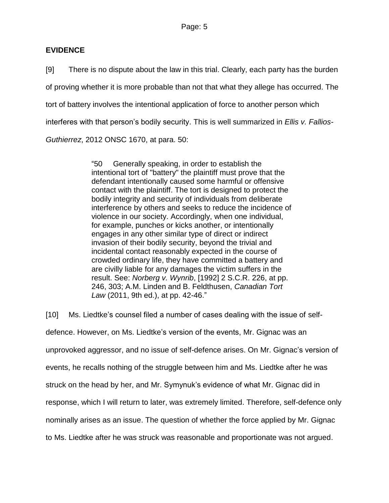## **EVIDENCE**

[9] There is no dispute about the law in this trial. Clearly, each party has the burden of proving whether it is more probable than not that what they allege has occurred. The tort of battery involves the intentional application of force to another person which interferes with that person's bodily security. This is well summarized in *Ellis v. Fallios-Guthierrez*, 2012 ONSC 1670, at para. 50:

> "50 Generally speaking, in order to establish the intentional tort of "battery" the plaintiff must prove that the defendant intentionally caused some harmful or offensive contact with the plaintiff. The tort is designed to protect the bodily integrity and security of individuals from deliberate interference by others and seeks to reduce the incidence of violence in our society. Accordingly, when one individual, for example, punches or kicks another, or intentionally engages in any other similar type of direct or indirect invasion of their bodily security, beyond the trivial and incidental contact reasonably expected in the course of crowded ordinary life, they have committed a battery and are civilly liable for any damages the victim suffers in the result. See: *Norberg v. Wynrib*, [\[1992\] 2 S.C.R. 226,](http://www.lexisnexis.com/ca/legal/search/runRemoteLink.do?langcountry=CA&linkInfo=F%23CA%23SCR%23sel2%252%25year%251992%25page%25226%25sel1%251992%25vol%252%25&risb=21_T16489894375&bct=A&service=citation&A=0.3231989259824234) at pp. 246, 303; A.M. Linden and B. Feldthusen, *Canadian Tort Law* (2011, 9th ed.), at pp. 42-46."

[10] Ms. Liedtke's counsel filed a number of cases dealing with the issue of selfdefence. However, on Ms. Liedtke's version of the events, Mr. Gignac was an unprovoked aggressor, and no issue of self-defence arises. On Mr. Gignac's version of events, he recalls nothing of the struggle between him and Ms. Liedtke after he was struck on the head by her, and Mr. Symynuk's evidence of what Mr. Gignac did in response, which I will return to later, was extremely limited. Therefore, self-defence only nominally arises as an issue. The question of whether the force applied by Mr. Gignac to Ms. Liedtke after he was struck was reasonable and proportionate was not argued.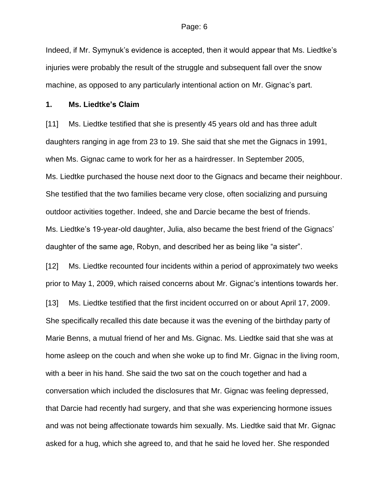Indeed, if Mr. Symynuk's evidence is accepted, then it would appear that Ms. Liedtke's injuries were probably the result of the struggle and subsequent fall over the snow machine, as opposed to any particularly intentional action on Mr. Gignac's part.

### **1. Ms. Liedtke's Claim**

[11] Ms. Liedtke testified that she is presently 45 years old and has three adult daughters ranging in age from 23 to 19. She said that she met the Gignacs in 1991, when Ms. Gignac came to work for her as a hairdresser. In September 2005, Ms. Liedtke purchased the house next door to the Gignacs and became their neighbour. She testified that the two families became very close, often socializing and pursuing outdoor activities together. Indeed, she and Darcie became the best of friends. Ms. Liedtke's 19-year-old daughter, Julia, also became the best friend of the Gignacs' daughter of the same age, Robyn, and described her as being like "a sister".

[12] Ms. Liedtke recounted four incidents within a period of approximately two weeks prior to May 1, 2009, which raised concerns about Mr. Gignac's intentions towards her.

[13] Ms. Liedtke testified that the first incident occurred on or about April 17, 2009. She specifically recalled this date because it was the evening of the birthday party of Marie Benns, a mutual friend of her and Ms. Gignac. Ms. Liedtke said that she was at home asleep on the couch and when she woke up to find Mr. Gignac in the living room, with a beer in his hand. She said the two sat on the couch together and had a conversation which included the disclosures that Mr. Gignac was feeling depressed, that Darcie had recently had surgery, and that she was experiencing hormone issues and was not being affectionate towards him sexually. Ms. Liedtke said that Mr. Gignac asked for a hug, which she agreed to, and that he said he loved her. She responded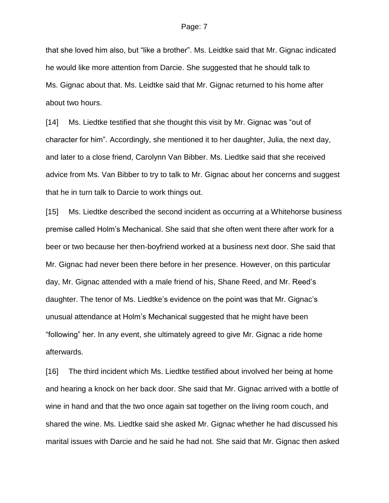that she loved him also, but "like a brother". Ms. Leidtke said that Mr. Gignac indicated he would like more attention from Darcie. She suggested that he should talk to Ms. Gignac about that. Ms. Leidtke said that Mr. Gignac returned to his home after about two hours.

[14] Ms. Liedtke testified that she thought this visit by Mr. Gignac was "out of character for him". Accordingly, she mentioned it to her daughter, Julia, the next day, and later to a close friend, Carolynn Van Bibber. Ms. Liedtke said that she received advice from Ms. Van Bibber to try to talk to Mr. Gignac about her concerns and suggest that he in turn talk to Darcie to work things out.

[15] Ms. Liedtke described the second incident as occurring at a Whitehorse business premise called Holm's Mechanical. She said that she often went there after work for a beer or two because her then-boyfriend worked at a business next door. She said that Mr. Gignac had never been there before in her presence. However, on this particular day, Mr. Gignac attended with a male friend of his, Shane Reed, and Mr. Reed's daughter. The tenor of Ms. Liedtke's evidence on the point was that Mr. Gignac's unusual attendance at Holm's Mechanical suggested that he might have been "following" her. In any event, she ultimately agreed to give Mr. Gignac a ride home afterwards.

[16] The third incident which Ms. Liedtke testified about involved her being at home and hearing a knock on her back door. She said that Mr. Gignac arrived with a bottle of wine in hand and that the two once again sat together on the living room couch, and shared the wine. Ms. Liedtke said she asked Mr. Gignac whether he had discussed his marital issues with Darcie and he said he had not. She said that Mr. Gignac then asked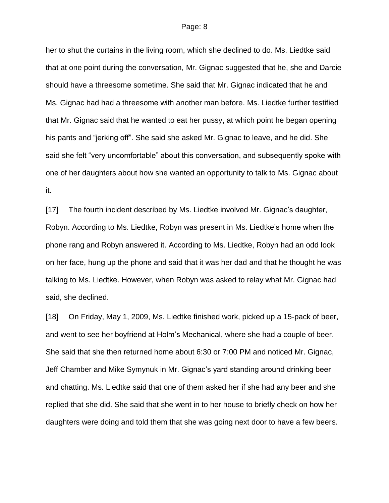her to shut the curtains in the living room, which she declined to do. Ms. Liedtke said that at one point during the conversation, Mr. Gignac suggested that he, she and Darcie should have a threesome sometime. She said that Mr. Gignac indicated that he and Ms. Gignac had had a threesome with another man before. Ms. Liedtke further testified that Mr. Gignac said that he wanted to eat her pussy, at which point he began opening his pants and "jerking off". She said she asked Mr. Gignac to leave, and he did. She said she felt "very uncomfortable" about this conversation, and subsequently spoke with one of her daughters about how she wanted an opportunity to talk to Ms. Gignac about it.

[17] The fourth incident described by Ms. Liedtke involved Mr. Gignac's daughter, Robyn. According to Ms. Liedtke, Robyn was present in Ms. Liedtke's home when the phone rang and Robyn answered it. According to Ms. Liedtke, Robyn had an odd look on her face, hung up the phone and said that it was her dad and that he thought he was talking to Ms. Liedtke. However, when Robyn was asked to relay what Mr. Gignac had said, she declined.

[18] On Friday, May 1, 2009, Ms. Liedtke finished work, picked up a 15-pack of beer, and went to see her boyfriend at Holm's Mechanical, where she had a couple of beer. She said that she then returned home about 6:30 or 7:00 PM and noticed Mr. Gignac, Jeff Chamber and Mike Symynuk in Mr. Gignac's yard standing around drinking beer and chatting. Ms. Liedtke said that one of them asked her if she had any beer and she replied that she did. She said that she went in to her house to briefly check on how her daughters were doing and told them that she was going next door to have a few beers.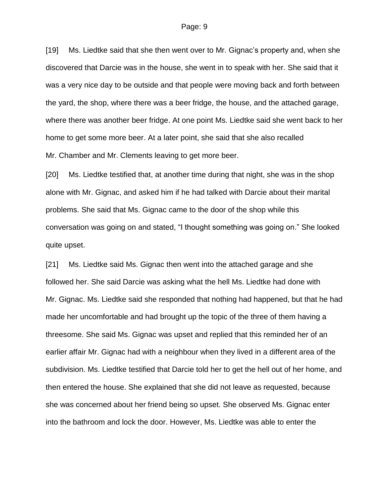[19] Ms. Liedtke said that she then went over to Mr. Gignac's property and, when she discovered that Darcie was in the house, she went in to speak with her. She said that it was a very nice day to be outside and that people were moving back and forth between the yard, the shop, where there was a beer fridge, the house, and the attached garage, where there was another beer fridge. At one point Ms. Liedtke said she went back to her home to get some more beer. At a later point, she said that she also recalled Mr. Chamber and Mr. Clements leaving to get more beer.

[20] Ms. Liedtke testified that, at another time during that night, she was in the shop alone with Mr. Gignac, and asked him if he had talked with Darcie about their marital problems. She said that Ms. Gignac came to the door of the shop while this conversation was going on and stated, "I thought something was going on." She looked quite upset.

[21] Ms. Liedtke said Ms. Gignac then went into the attached garage and she followed her. She said Darcie was asking what the hell Ms. Liedtke had done with Mr. Gignac. Ms. Liedtke said she responded that nothing had happened, but that he had made her uncomfortable and had brought up the topic of the three of them having a threesome. She said Ms. Gignac was upset and replied that this reminded her of an earlier affair Mr. Gignac had with a neighbour when they lived in a different area of the subdivision. Ms. Liedtke testified that Darcie told her to get the hell out of her home, and then entered the house. She explained that she did not leave as requested, because she was concerned about her friend being so upset. She observed Ms. Gignac enter into the bathroom and lock the door. However, Ms. Liedtke was able to enter the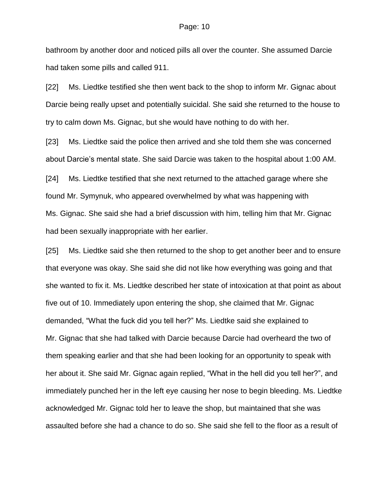bathroom by another door and noticed pills all over the counter. She assumed Darcie had taken some pills and called 911.

[22] Ms. Liedtke testified she then went back to the shop to inform Mr. Gignac about Darcie being really upset and potentially suicidal. She said she returned to the house to try to calm down Ms. Gignac, but she would have nothing to do with her.

[23] Ms. Liedtke said the police then arrived and she told them she was concerned about Darcie's mental state. She said Darcie was taken to the hospital about 1:00 AM.

[24] Ms. Liedtke testified that she next returned to the attached garage where she found Mr. Symynuk, who appeared overwhelmed by what was happening with Ms. Gignac. She said she had a brief discussion with him, telling him that Mr. Gignac had been sexually inappropriate with her earlier.

[25] Ms. Liedtke said she then returned to the shop to get another beer and to ensure that everyone was okay. She said she did not like how everything was going and that she wanted to fix it. Ms. Liedtke described her state of intoxication at that point as about five out of 10. Immediately upon entering the shop, she claimed that Mr. Gignac demanded, "What the fuck did you tell her?" Ms. Liedtke said she explained to Mr. Gignac that she had talked with Darcie because Darcie had overheard the two of them speaking earlier and that she had been looking for an opportunity to speak with her about it. She said Mr. Gignac again replied, "What in the hell did you tell her?", and immediately punched her in the left eye causing her nose to begin bleeding. Ms. Liedtke acknowledged Mr. Gignac told her to leave the shop, but maintained that she was assaulted before she had a chance to do so. She said she fell to the floor as a result of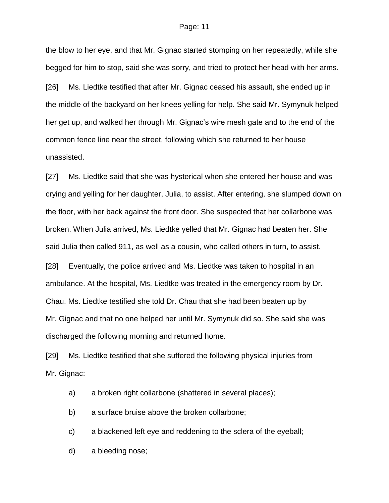the blow to her eye, and that Mr. Gignac started stomping on her repeatedly, while she begged for him to stop, said she was sorry, and tried to protect her head with her arms.

[26] Ms. Liedtke testified that after Mr. Gignac ceased his assault, she ended up in the middle of the backyard on her knees yelling for help. She said Mr. Symynuk helped her get up, and walked her through Mr. Gignac's wire mesh gate and to the end of the common fence line near the street, following which she returned to her house unassisted.

[27] Ms. Liedtke said that she was hysterical when she entered her house and was crying and yelling for her daughter, Julia, to assist. After entering, she slumped down on the floor, with her back against the front door. She suspected that her collarbone was broken. When Julia arrived, Ms. Liedtke yelled that Mr. Gignac had beaten her. She said Julia then called 911, as well as a cousin, who called others in turn, to assist.

[28] Eventually, the police arrived and Ms. Liedtke was taken to hospital in an ambulance. At the hospital, Ms. Liedtke was treated in the emergency room by Dr. Chau. Ms. Liedtke testified she told Dr. Chau that she had been beaten up by Mr. Gignac and that no one helped her until Mr. Symynuk did so. She said she was discharged the following morning and returned home.

[29] Ms. Liedtke testified that she suffered the following physical injuries from Mr. Gignac:

a) a broken right collarbone (shattered in several places);

b) a surface bruise above the broken collarbone;

c) a blackened left eye and reddening to the sclera of the eyeball;

d) a bleeding nose;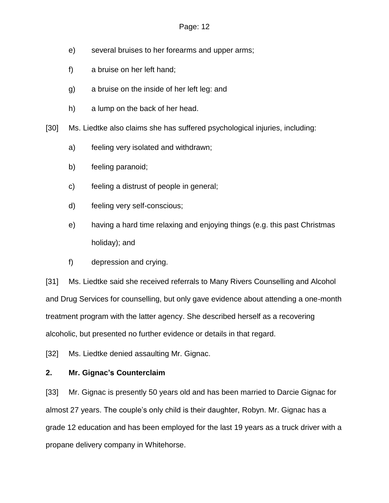- e) several bruises to her forearms and upper arms;
- f) a bruise on her left hand;
- g) a bruise on the inside of her left leg: and
- h) a lump on the back of her head.

[30] Ms. Liedtke also claims she has suffered psychological injuries, including:

- a) feeling very isolated and withdrawn;
- b) feeling paranoid;
- c) feeling a distrust of people in general;
- d) feeling very self-conscious;
- e) having a hard time relaxing and enjoying things (e.g. this past Christmas holiday); and
- f) depression and crying.

[31] Ms. Liedtke said she received referrals to Many Rivers Counselling and Alcohol and Drug Services for counselling, but only gave evidence about attending a one-month treatment program with the latter agency. She described herself as a recovering alcoholic, but presented no further evidence or details in that regard.

[32] Ms. Liedtke denied assaulting Mr. Gignac.

## **2. Mr. Gignac's Counterclaim**

[33] Mr. Gignac is presently 50 years old and has been married to Darcie Gignac for almost 27 years. The couple's only child is their daughter, Robyn. Mr. Gignac has a grade 12 education and has been employed for the last 19 years as a truck driver with a propane delivery company in Whitehorse.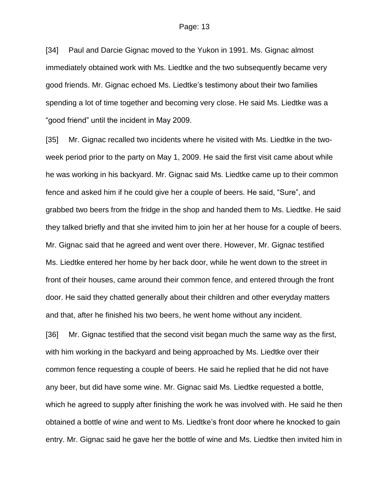[34] Paul and Darcie Gignac moved to the Yukon in 1991. Ms. Gignac almost immediately obtained work with Ms. Liedtke and the two subsequently became very good friends. Mr. Gignac echoed Ms. Liedtke's testimony about their two families spending a lot of time together and becoming very close. He said Ms. Liedtke was a "good friend" until the incident in May 2009.

[35] Mr. Gignac recalled two incidents where he visited with Ms. Liedtke in the twoweek period prior to the party on May 1, 2009. He said the first visit came about while he was working in his backyard. Mr. Gignac said Ms. Liedtke came up to their common fence and asked him if he could give her a couple of beers. He said, "Sure", and grabbed two beers from the fridge in the shop and handed them to Ms. Liedtke. He said they talked briefly and that she invited him to join her at her house for a couple of beers. Mr. Gignac said that he agreed and went over there. However, Mr. Gignac testified Ms. Liedtke entered her home by her back door, while he went down to the street in front of their houses, came around their common fence, and entered through the front door. He said they chatted generally about their children and other everyday matters and that, after he finished his two beers, he went home without any incident.

[36] Mr. Gignac testified that the second visit began much the same way as the first, with him working in the backyard and being approached by Ms. Liedtke over their common fence requesting a couple of beers. He said he replied that he did not have any beer, but did have some wine. Mr. Gignac said Ms. Liedtke requested a bottle, which he agreed to supply after finishing the work he was involved with. He said he then obtained a bottle of wine and went to Ms. Liedtke's front door where he knocked to gain entry. Mr. Gignac said he gave her the bottle of wine and Ms. Liedtke then invited him in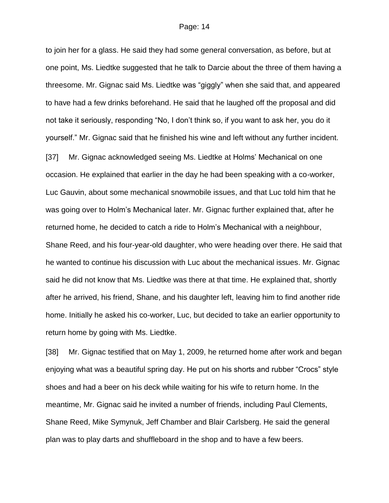to join her for a glass. He said they had some general conversation, as before, but at one point, Ms. Liedtke suggested that he talk to Darcie about the three of them having a threesome. Mr. Gignac said Ms. Liedtke was "giggly" when she said that, and appeared to have had a few drinks beforehand. He said that he laughed off the proposal and did not take it seriously, responding "No, I don't think so, if you want to ask her, you do it yourself." Mr. Gignac said that he finished his wine and left without any further incident. [37] Mr. Gignac acknowledged seeing Ms. Liedtke at Holms' Mechanical on one occasion. He explained that earlier in the day he had been speaking with a co-worker, Luc Gauvin, about some mechanical snowmobile issues, and that Luc told him that he was going over to Holm's Mechanical later. Mr. Gignac further explained that, after he returned home, he decided to catch a ride to Holm's Mechanical with a neighbour, Shane Reed, and his four-year-old daughter, who were heading over there. He said that

he wanted to continue his discussion with Luc about the mechanical issues. Mr. Gignac said he did not know that Ms. Liedtke was there at that time. He explained that, shortly after he arrived, his friend, Shane, and his daughter left, leaving him to find another ride home. Initially he asked his co-worker, Luc, but decided to take an earlier opportunity to return home by going with Ms. Liedtke.

[38] Mr. Gignac testified that on May 1, 2009, he returned home after work and began enjoying what was a beautiful spring day. He put on his shorts and rubber "Crocs" style shoes and had a beer on his deck while waiting for his wife to return home. In the meantime, Mr. Gignac said he invited a number of friends, including Paul Clements, Shane Reed, Mike Symynuk, Jeff Chamber and Blair Carlsberg. He said the general plan was to play darts and shuffleboard in the shop and to have a few beers.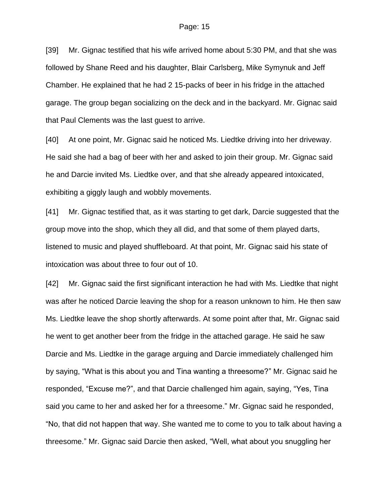[39] Mr. Gignac testified that his wife arrived home about 5:30 PM, and that she was followed by Shane Reed and his daughter, Blair Carlsberg, Mike Symynuk and Jeff Chamber. He explained that he had 2 15-packs of beer in his fridge in the attached garage. The group began socializing on the deck and in the backyard. Mr. Gignac said that Paul Clements was the last guest to arrive.

[40] At one point, Mr. Gignac said he noticed Ms. Liedtke driving into her driveway. He said she had a bag of beer with her and asked to join their group. Mr. Gignac said he and Darcie invited Ms. Liedtke over, and that she already appeared intoxicated, exhibiting a giggly laugh and wobbly movements.

[41] Mr. Gignac testified that, as it was starting to get dark, Darcie suggested that the group move into the shop, which they all did, and that some of them played darts, listened to music and played shuffleboard. At that point, Mr. Gignac said his state of intoxication was about three to four out of 10.

[42] Mr. Gignac said the first significant interaction he had with Ms. Liedtke that night was after he noticed Darcie leaving the shop for a reason unknown to him. He then saw Ms. Liedtke leave the shop shortly afterwards. At some point after that, Mr. Gignac said he went to get another beer from the fridge in the attached garage. He said he saw Darcie and Ms. Liedtke in the garage arguing and Darcie immediately challenged him by saying, "What is this about you and Tina wanting a threesome?" Mr. Gignac said he responded, "Excuse me?", and that Darcie challenged him again, saying, "Yes, Tina said you came to her and asked her for a threesome." Mr. Gignac said he responded, "No, that did not happen that way. She wanted me to come to you to talk about having a threesome." Mr. Gignac said Darcie then asked, "Well, what about you snuggling her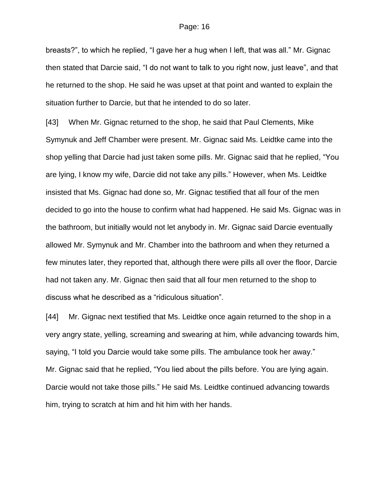breasts?", to which he replied, "I gave her a hug when I left, that was all." Mr. Gignac then stated that Darcie said, "I do not want to talk to you right now, just leave", and that he returned to the shop. He said he was upset at that point and wanted to explain the situation further to Darcie, but that he intended to do so later.

[43] When Mr. Gignac returned to the shop, he said that Paul Clements, Mike Symynuk and Jeff Chamber were present. Mr. Gignac said Ms. Leidtke came into the shop yelling that Darcie had just taken some pills. Mr. Gignac said that he replied, "You are lying, I know my wife, Darcie did not take any pills." However, when Ms. Leidtke insisted that Ms. Gignac had done so, Mr. Gignac testified that all four of the men decided to go into the house to confirm what had happened. He said Ms. Gignac was in the bathroom, but initially would not let anybody in. Mr. Gignac said Darcie eventually allowed Mr. Symynuk and Mr. Chamber into the bathroom and when they returned a few minutes later, they reported that, although there were pills all over the floor, Darcie had not taken any. Mr. Gignac then said that all four men returned to the shop to discuss what he described as a "ridiculous situation".

[44] Mr. Gignac next testified that Ms. Leidtke once again returned to the shop in a very angry state, yelling, screaming and swearing at him, while advancing towards him, saying, "I told you Darcie would take some pills. The ambulance took her away." Mr. Gignac said that he replied, "You lied about the pills before. You are lying again. Darcie would not take those pills." He said Ms. Leidtke continued advancing towards him, trying to scratch at him and hit him with her hands.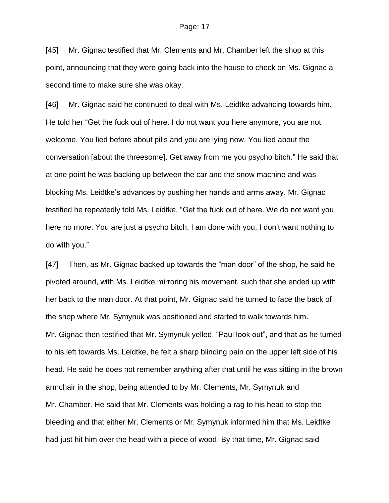[45] Mr. Gignac testified that Mr. Clements and Mr. Chamber left the shop at this point, announcing that they were going back into the house to check on Ms. Gignac a second time to make sure she was okay.

[46] Mr. Gignac said he continued to deal with Ms. Leidtke advancing towards him. He told her "Get the fuck out of here. I do not want you here anymore, you are not welcome. You lied before about pills and you are lying now. You lied about the conversation [about the threesome]. Get away from me you psycho bitch." He said that at one point he was backing up between the car and the snow machine and was blocking Ms. Leidtke's advances by pushing her hands and arms away. Mr. Gignac testified he repeatedly told Ms. Leidtke, "Get the fuck out of here. We do not want you here no more. You are just a psycho bitch. I am done with you. I don't want nothing to do with you."

[47] Then, as Mr. Gignac backed up towards the "man door" of the shop, he said he pivoted around, with Ms. Leidtke mirroring his movement, such that she ended up with her back to the man door. At that point, Mr. Gignac said he turned to face the back of the shop where Mr. Symynuk was positioned and started to walk towards him. Mr. Gignac then testified that Mr. Symynuk yelled, "Paul look out", and that as he turned to his left towards Ms. Leidtke, he felt a sharp blinding pain on the upper left side of his head. He said he does not remember anything after that until he was sitting in the brown armchair in the shop, being attended to by Mr. Clements, Mr. Symynuk and Mr. Chamber. He said that Mr. Clements was holding a rag to his head to stop the bleeding and that either Mr. Clements or Mr. Symynuk informed him that Ms. Leidtke had just hit him over the head with a piece of wood. By that time, Mr. Gignac said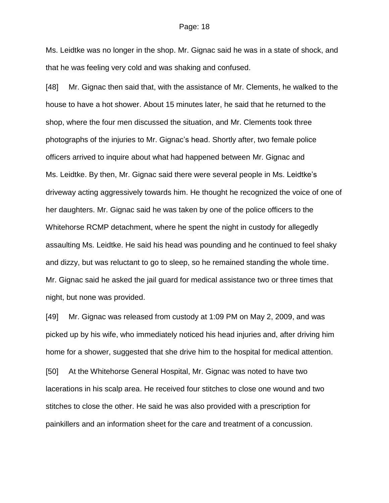Ms. Leidtke was no longer in the shop. Mr. Gignac said he was in a state of shock, and that he was feeling very cold and was shaking and confused.

[48] Mr. Gignac then said that, with the assistance of Mr. Clements, he walked to the house to have a hot shower. About 15 minutes later, he said that he returned to the shop, where the four men discussed the situation, and Mr. Clements took three photographs of the injuries to Mr. Gignac's head. Shortly after, two female police officers arrived to inquire about what had happened between Mr. Gignac and Ms. Leidtke. By then, Mr. Gignac said there were several people in Ms. Leidtke's driveway acting aggressively towards him. He thought he recognized the voice of one of her daughters. Mr. Gignac said he was taken by one of the police officers to the Whitehorse RCMP detachment, where he spent the night in custody for allegedly assaulting Ms. Leidtke. He said his head was pounding and he continued to feel shaky and dizzy, but was reluctant to go to sleep, so he remained standing the whole time. Mr. Gignac said he asked the jail guard for medical assistance two or three times that night, but none was provided.

[49] Mr. Gignac was released from custody at 1:09 PM on May 2, 2009, and was picked up by his wife, who immediately noticed his head injuries and, after driving him home for a shower, suggested that she drive him to the hospital for medical attention.

[50] At the Whitehorse General Hospital, Mr. Gignac was noted to have two lacerations in his scalp area. He received four stitches to close one wound and two stitches to close the other. He said he was also provided with a prescription for painkillers and an information sheet for the care and treatment of a concussion.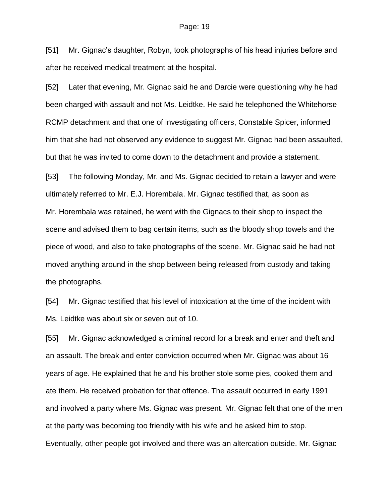[51] Mr. Gignac's daughter, Robyn, took photographs of his head injuries before and after he received medical treatment at the hospital.

[52] Later that evening, Mr. Gignac said he and Darcie were questioning why he had been charged with assault and not Ms. Leidtke. He said he telephoned the Whitehorse RCMP detachment and that one of investigating officers, Constable Spicer, informed him that she had not observed any evidence to suggest Mr. Gignac had been assaulted, but that he was invited to come down to the detachment and provide a statement.

[53] The following Monday, Mr. and Ms. Gignac decided to retain a lawyer and were ultimately referred to Mr. E.J. Horembala. Mr. Gignac testified that, as soon as Mr. Horembala was retained, he went with the Gignacs to their shop to inspect the scene and advised them to bag certain items, such as the bloody shop towels and the piece of wood, and also to take photographs of the scene. Mr. Gignac said he had not moved anything around in the shop between being released from custody and taking the photographs.

[54] Mr. Gignac testified that his level of intoxication at the time of the incident with Ms. Leidtke was about six or seven out of 10.

[55] Mr. Gignac acknowledged a criminal record for a break and enter and theft and an assault. The break and enter conviction occurred when Mr. Gignac was about 16 years of age. He explained that he and his brother stole some pies, cooked them and ate them. He received probation for that offence. The assault occurred in early 1991 and involved a party where Ms. Gignac was present. Mr. Gignac felt that one of the men at the party was becoming too friendly with his wife and he asked him to stop. Eventually, other people got involved and there was an altercation outside. Mr. Gignac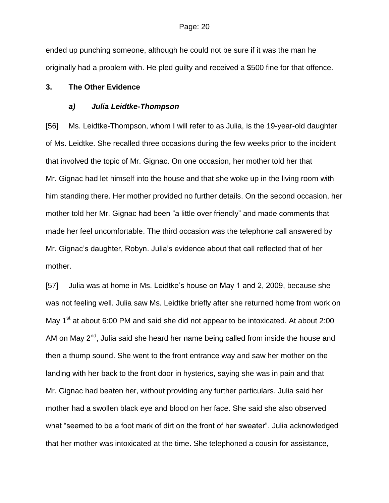ended up punching someone, although he could not be sure if it was the man he originally had a problem with. He pled guilty and received a \$500 fine for that offence.

### **3. The Other Evidence**

### *a) Julia Leidtke-Thompson*

[56] Ms. Leidtke-Thompson, whom I will refer to as Julia, is the 19-year-old daughter of Ms. Leidtke. She recalled three occasions during the few weeks prior to the incident that involved the topic of Mr. Gignac. On one occasion, her mother told her that Mr. Gignac had let himself into the house and that she woke up in the living room with him standing there. Her mother provided no further details. On the second occasion, her mother told her Mr. Gignac had been "a little over friendly" and made comments that made her feel uncomfortable. The third occasion was the telephone call answered by Mr. Gignac's daughter, Robyn. Julia's evidence about that call reflected that of her mother.

[57] Julia was at home in Ms. Leidtke's house on May 1 and 2, 2009, because she was not feeling well. Julia saw Ms. Leidtke briefly after she returned home from work on May  $1<sup>st</sup>$  at about 6:00 PM and said she did not appear to be intoxicated. At about 2:00 AM on May 2<sup>nd</sup>, Julia said she heard her name being called from inside the house and then a thump sound. She went to the front entrance way and saw her mother on the landing with her back to the front door in hysterics, saying she was in pain and that Mr. Gignac had beaten her, without providing any further particulars. Julia said her mother had a swollen black eye and blood on her face. She said she also observed what "seemed to be a foot mark of dirt on the front of her sweater". Julia acknowledged that her mother was intoxicated at the time. She telephoned a cousin for assistance,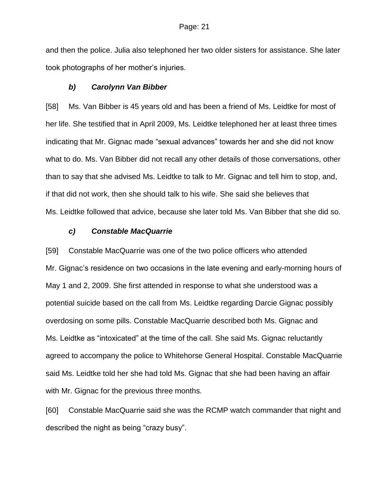and then the police. Julia also telephoned her two older sisters for assistance. She later took photographs of her mother's injuries.

### *b) Carolynn Van Bibber*

[58] Ms. Van Bibber is 45 years old and has been a friend of Ms. Leidtke for most of her life. She testified that in April 2009, Ms. Leidtke telephoned her at least three times indicating that Mr. Gignac made "sexual advances" towards her and she did not know what to do. Ms. Van Bibber did not recall any other details of those conversations, other than to say that she advised Ms. Leidtke to talk to Mr. Gignac and tell him to stop, and, if that did not work, then she should talk to his wife. She said she believes that Ms. Leidtke followed that advice, because she later told Ms. Van Bibber that she did so.

### *c) Constable MacQuarrie*

[59] Constable MacQuarrie was one of the two police officers who attended Mr. Gignac's residence on two occasions in the late evening and early-morning hours of May 1 and 2, 2009. She first attended in response to what she understood was a potential suicide based on the call from Ms. Leidtke regarding Darcie Gignac possibly overdosing on some pills. Constable MacQuarrie described both Ms. Gignac and Ms. Leidtke as "intoxicated" at the time of the call. She said Ms. Gignac reluctantly agreed to accompany the police to Whitehorse General Hospital. Constable MacQuarrie said Ms. Leidtke told her she had told Ms. Gignac that she had been having an affair with Mr. Gignac for the previous three months.

[60] Constable MacQuarrie said she was the RCMP watch commander that night and described the night as being "crazy busy".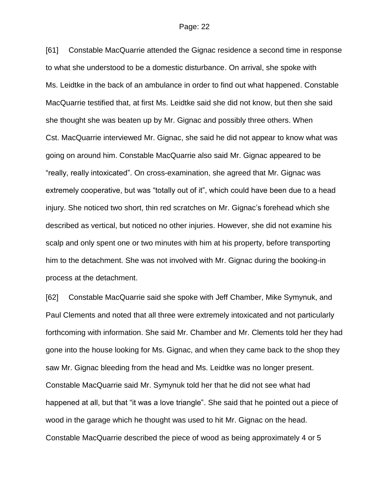[61] Constable MacQuarrie attended the Gignac residence a second time in response to what she understood to be a domestic disturbance. On arrival, she spoke with Ms. Leidtke in the back of an ambulance in order to find out what happened. Constable MacQuarrie testified that, at first Ms. Leidtke said she did not know, but then she said she thought she was beaten up by Mr. Gignac and possibly three others. When Cst. MacQuarrie interviewed Mr. Gignac, she said he did not appear to know what was going on around him. Constable MacQuarrie also said Mr. Gignac appeared to be "really, really intoxicated". On cross-examination, she agreed that Mr. Gignac was extremely cooperative, but was "totally out of it", which could have been due to a head injury. She noticed two short, thin red scratches on Mr. Gignac's forehead which she described as vertical, but noticed no other injuries. However, she did not examine his scalp and only spent one or two minutes with him at his property, before transporting him to the detachment. She was not involved with Mr. Gignac during the booking-in process at the detachment.

[62] Constable MacQuarrie said she spoke with Jeff Chamber, Mike Symynuk, and Paul Clements and noted that all three were extremely intoxicated and not particularly forthcoming with information. She said Mr. Chamber and Mr. Clements told her they had gone into the house looking for Ms. Gignac, and when they came back to the shop they saw Mr. Gignac bleeding from the head and Ms. Leidtke was no longer present. Constable MacQuarrie said Mr. Symynuk told her that he did not see what had happened at all, but that "it was a love triangle". She said that he pointed out a piece of wood in the garage which he thought was used to hit Mr. Gignac on the head. Constable MacQuarrie described the piece of wood as being approximately 4 or 5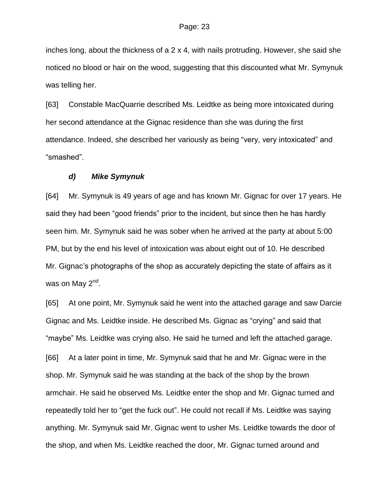inches long, about the thickness of a 2 x 4, with nails protruding. However, she said she noticed no blood or hair on the wood, suggesting that this discounted what Mr. Symynuk was telling her.

[63] Constable MacQuarrie described Ms. Leidtke as being more intoxicated during her second attendance at the Gignac residence than she was during the first attendance. Indeed, she described her variously as being "very, very intoxicated" and "smashed".

### *d) Mike Symynuk*

[64] Mr. Symynuk is 49 years of age and has known Mr. Gignac for over 17 years. He said they had been "good friends" prior to the incident, but since then he has hardly seen him. Mr. Symynuk said he was sober when he arrived at the party at about 5:00 PM, but by the end his level of intoxication was about eight out of 10. He described Mr. Gignac's photographs of the shop as accurately depicting the state of affairs as it was on May 2<sup>nd</sup>.

[65] At one point, Mr. Symynuk said he went into the attached garage and saw Darcie Gignac and Ms. Leidtke inside. He described Ms. Gignac as "crying" and said that "maybe" Ms. Leidtke was crying also. He said he turned and left the attached garage. [66] At a later point in time, Mr. Symynuk said that he and Mr. Gignac were in the shop. Mr. Symynuk said he was standing at the back of the shop by the brown armchair. He said he observed Ms. Leidtke enter the shop and Mr. Gignac turned and repeatedly told her to "get the fuck out". He could not recall if Ms. Leidtke was saying anything. Mr. Symynuk said Mr. Gignac went to usher Ms. Leidtke towards the door of the shop, and when Ms. Leidtke reached the door, Mr. Gignac turned around and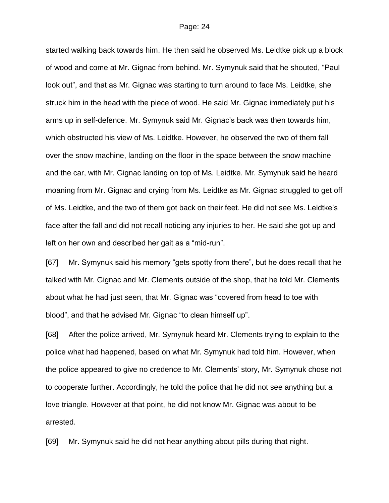started walking back towards him. He then said he observed Ms. Leidtke pick up a block of wood and come at Mr. Gignac from behind. Mr. Symynuk said that he shouted, "Paul look out", and that as Mr. Gignac was starting to turn around to face Ms. Leidtke, she struck him in the head with the piece of wood. He said Mr. Gignac immediately put his arms up in self-defence. Mr. Symynuk said Mr. Gignac's back was then towards him, which obstructed his view of Ms. Leidtke. However, he observed the two of them fall over the snow machine, landing on the floor in the space between the snow machine and the car, with Mr. Gignac landing on top of Ms. Leidtke. Mr. Symynuk said he heard moaning from Mr. Gignac and crying from Ms. Leidtke as Mr. Gignac struggled to get off of Ms. Leidtke, and the two of them got back on their feet. He did not see Ms. Leidtke's face after the fall and did not recall noticing any injuries to her. He said she got up and left on her own and described her gait as a "mid-run".

[67] Mr. Symynuk said his memory "gets spotty from there", but he does recall that he talked with Mr. Gignac and Mr. Clements outside of the shop, that he told Mr. Clements about what he had just seen, that Mr. Gignac was "covered from head to toe with blood", and that he advised Mr. Gignac "to clean himself up".

[68] After the police arrived, Mr. Symynuk heard Mr. Clements trying to explain to the police what had happened, based on what Mr. Symynuk had told him. However, when the police appeared to give no credence to Mr. Clements' story, Mr. Symynuk chose not to cooperate further. Accordingly, he told the police that he did not see anything but a love triangle. However at that point, he did not know Mr. Gignac was about to be arrested.

[69] Mr. Symynuk said he did not hear anything about pills during that night.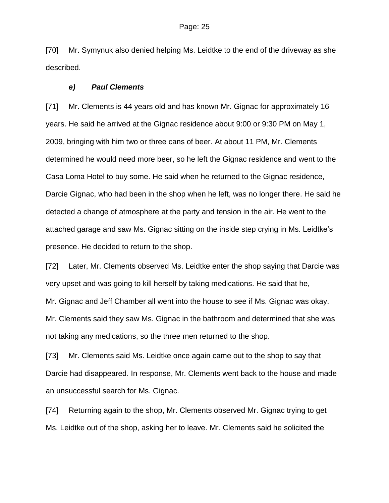[70] Mr. Symynuk also denied helping Ms. Leidtke to the end of the driveway as she described.

### *e) Paul Clements*

[71] Mr. Clements is 44 years old and has known Mr. Gignac for approximately 16 years. He said he arrived at the Gignac residence about 9:00 or 9:30 PM on May 1, 2009, bringing with him two or three cans of beer. At about 11 PM, Mr. Clements determined he would need more beer, so he left the Gignac residence and went to the Casa Loma Hotel to buy some. He said when he returned to the Gignac residence, Darcie Gignac, who had been in the shop when he left, was no longer there. He said he detected a change of atmosphere at the party and tension in the air. He went to the attached garage and saw Ms. Gignac sitting on the inside step crying in Ms. Leidtke's presence. He decided to return to the shop.

[72] Later, Mr. Clements observed Ms. Leidtke enter the shop saying that Darcie was very upset and was going to kill herself by taking medications. He said that he, Mr. Gignac and Jeff Chamber all went into the house to see if Ms. Gignac was okay. Mr. Clements said they saw Ms. Gignac in the bathroom and determined that she was not taking any medications, so the three men returned to the shop.

[73] Mr. Clements said Ms. Leidtke once again came out to the shop to say that Darcie had disappeared. In response, Mr. Clements went back to the house and made an unsuccessful search for Ms. Gignac.

[74] Returning again to the shop, Mr. Clements observed Mr. Gignac trying to get Ms. Leidtke out of the shop, asking her to leave. Mr. Clements said he solicited the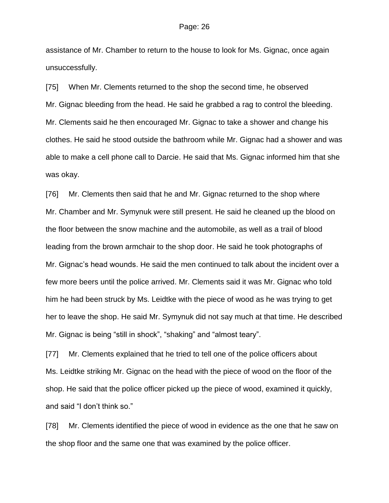assistance of Mr. Chamber to return to the house to look for Ms. Gignac, once again unsuccessfully.

[75] When Mr. Clements returned to the shop the second time, he observed Mr. Gignac bleeding from the head. He said he grabbed a rag to control the bleeding. Mr. Clements said he then encouraged Mr. Gignac to take a shower and change his clothes. He said he stood outside the bathroom while Mr. Gignac had a shower and was able to make a cell phone call to Darcie. He said that Ms. Gignac informed him that she was okay.

[76] Mr. Clements then said that he and Mr. Gignac returned to the shop where Mr. Chamber and Mr. Symynuk were still present. He said he cleaned up the blood on the floor between the snow machine and the automobile, as well as a trail of blood leading from the brown armchair to the shop door. He said he took photographs of Mr. Gignac's head wounds. He said the men continued to talk about the incident over a few more beers until the police arrived. Mr. Clements said it was Mr. Gignac who told him he had been struck by Ms. Leidtke with the piece of wood as he was trying to get her to leave the shop. He said Mr. Symynuk did not say much at that time. He described Mr. Gignac is being "still in shock", "shaking" and "almost teary".

[77] Mr. Clements explained that he tried to tell one of the police officers about Ms. Leidtke striking Mr. Gignac on the head with the piece of wood on the floor of the shop. He said that the police officer picked up the piece of wood, examined it quickly, and said "I don't think so."

[78] Mr. Clements identified the piece of wood in evidence as the one that he saw on the shop floor and the same one that was examined by the police officer.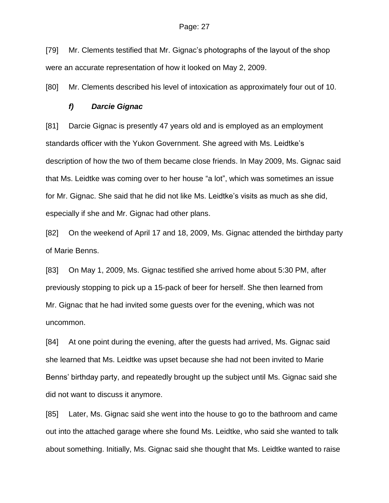[79] Mr. Clements testified that Mr. Gignac's photographs of the layout of the shop were an accurate representation of how it looked on May 2, 2009.

[80] Mr. Clements described his level of intoxication as approximately four out of 10.

### *f) Darcie Gignac*

[81] Darcie Gignac is presently 47 years old and is employed as an employment standards officer with the Yukon Government. She agreed with Ms. Leidtke's description of how the two of them became close friends. In May 2009, Ms. Gignac said that Ms. Leidtke was coming over to her house "a lot", which was sometimes an issue for Mr. Gignac. She said that he did not like Ms. Leidtke's visits as much as she did, especially if she and Mr. Gignac had other plans.

[82] On the weekend of April 17 and 18, 2009, Ms. Gignac attended the birthday party of Marie Benns.

[83] On May 1, 2009, Ms. Gignac testified she arrived home about 5:30 PM, after previously stopping to pick up a 15-pack of beer for herself. She then learned from Mr. Gignac that he had invited some guests over for the evening, which was not uncommon.

[84] At one point during the evening, after the guests had arrived, Ms. Gignac said she learned that Ms. Leidtke was upset because she had not been invited to Marie Benns' birthday party, and repeatedly brought up the subject until Ms. Gignac said she did not want to discuss it anymore.

[85] Later, Ms. Gignac said she went into the house to go to the bathroom and came out into the attached garage where she found Ms. Leidtke, who said she wanted to talk about something. Initially, Ms. Gignac said she thought that Ms. Leidtke wanted to raise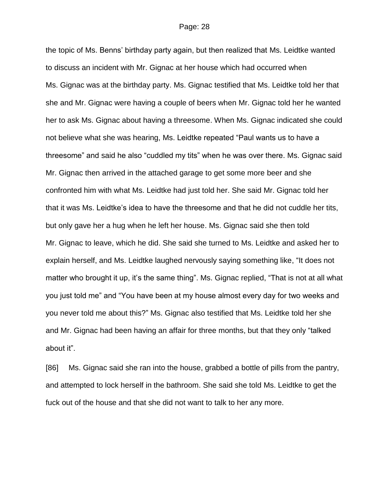the topic of Ms. Benns' birthday party again, but then realized that Ms. Leidtke wanted to discuss an incident with Mr. Gignac at her house which had occurred when Ms. Gignac was at the birthday party. Ms. Gignac testified that Ms. Leidtke told her that she and Mr. Gignac were having a couple of beers when Mr. Gignac told her he wanted her to ask Ms. Gignac about having a threesome. When Ms. Gignac indicated she could not believe what she was hearing, Ms. Leidtke repeated "Paul wants us to have a threesome" and said he also "cuddled my tits" when he was over there. Ms. Gignac said Mr. Gignac then arrived in the attached garage to get some more beer and she confronted him with what Ms. Leidtke had just told her. She said Mr. Gignac told her that it was Ms. Leidtke's idea to have the threesome and that he did not cuddle her tits, but only gave her a hug when he left her house. Ms. Gignac said she then told Mr. Gignac to leave, which he did. She said she turned to Ms. Leidtke and asked her to explain herself, and Ms. Leidtke laughed nervously saying something like, "It does not matter who brought it up, it's the same thing". Ms. Gignac replied, "That is not at all what you just told me" and "You have been at my house almost every day for two weeks and you never told me about this?" Ms. Gignac also testified that Ms. Leidtke told her she and Mr. Gignac had been having an affair for three months, but that they only "talked about it".

[86] Ms. Gignac said she ran into the house, grabbed a bottle of pills from the pantry, and attempted to lock herself in the bathroom. She said she told Ms. Leidtke to get the fuck out of the house and that she did not want to talk to her any more.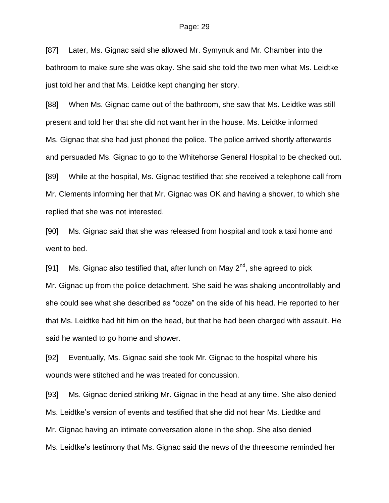[87] Later, Ms. Gignac said she allowed Mr. Symynuk and Mr. Chamber into the bathroom to make sure she was okay. She said she told the two men what Ms. Leidtke just told her and that Ms. Leidtke kept changing her story.

[88] When Ms. Gignac came out of the bathroom, she saw that Ms. Leidtke was still present and told her that she did not want her in the house. Ms. Leidtke informed Ms. Gignac that she had just phoned the police. The police arrived shortly afterwards and persuaded Ms. Gignac to go to the Whitehorse General Hospital to be checked out. [89] While at the hospital, Ms. Gignac testified that she received a telephone call from Mr. Clements informing her that Mr. Gignac was OK and having a shower, to which she replied that she was not interested.

[90] Ms. Gignac said that she was released from hospital and took a taxi home and went to bed.

[91] Ms. Gignac also testified that, after lunch on May  $2^{nd}$ , she agreed to pick Mr. Gignac up from the police detachment. She said he was shaking uncontrollably and she could see what she described as "ooze" on the side of his head. He reported to her that Ms. Leidtke had hit him on the head, but that he had been charged with assault. He said he wanted to go home and shower.

[92] Eventually, Ms. Gignac said she took Mr. Gignac to the hospital where his wounds were stitched and he was treated for concussion.

[93] Ms. Gignac denied striking Mr. Gignac in the head at any time. She also denied Ms. Leidtke's version of events and testified that she did not hear Ms. Liedtke and Mr. Gignac having an intimate conversation alone in the shop. She also denied Ms. Leidtke's testimony that Ms. Gignac said the news of the threesome reminded her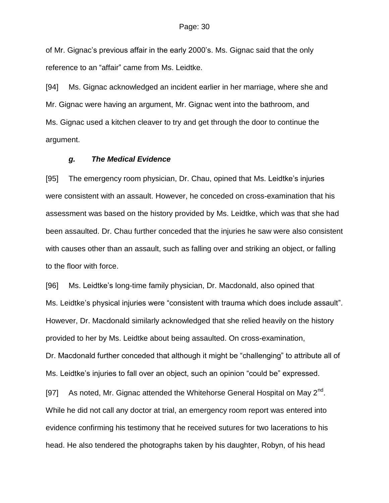of Mr. Gignac's previous affair in the early 2000's. Ms. Gignac said that the only reference to an "affair" came from Ms. Leidtke.

[94] Ms. Gignac acknowledged an incident earlier in her marriage, where she and Mr. Gignac were having an argument, Mr. Gignac went into the bathroom, and Ms. Gignac used a kitchen cleaver to try and get through the door to continue the argument.

### *g. The Medical Evidence*

[95] The emergency room physician, Dr. Chau, opined that Ms. Leidtke's injuries were consistent with an assault. However, he conceded on cross-examination that his assessment was based on the history provided by Ms. Leidtke, which was that she had been assaulted. Dr. Chau further conceded that the injuries he saw were also consistent with causes other than an assault, such as falling over and striking an object, or falling to the floor with force.

[96] Ms. Leidtke's long-time family physician, Dr. Macdonald, also opined that Ms. Leidtke's physical injuries were "consistent with trauma which does include assault". However, Dr. Macdonald similarly acknowledged that she relied heavily on the history provided to her by Ms. Leidtke about being assaulted. On cross-examination, Dr. Macdonald further conceded that although it might be "challenging" to attribute all of Ms. Leidtke's injuries to fall over an object, such an opinion "could be" expressed.

[97] As noted, Mr. Gignac attended the Whitehorse General Hospital on May 2<sup>nd</sup>. While he did not call any doctor at trial, an emergency room report was entered into evidence confirming his testimony that he received sutures for two lacerations to his head. He also tendered the photographs taken by his daughter, Robyn, of his head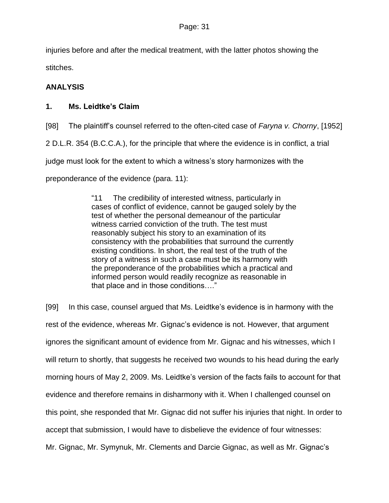injuries before and after the medical treatment, with the latter photos showing the stitches.

# **ANALYSIS**

## **1. Ms. Leidtke's Claim**

[98] The plaintiff's counsel referred to the often-cited case of *Faryna v. Chorny*, [1952] 2 D.L.R. 354 (B.C.C.A.), for the principle that where the evidence is in conflict, a trial judge must look for the extent to which a witness's story harmonizes with the preponderance of the evidence (para. 11):

> "11 The credibility of interested witness, particularly in cases of conflict of evidence, cannot be gauged solely by the test of whether the personal demeanour of the particular witness carried conviction of the truth. The test must reasonably subject his story to an examination of its consistency with the probabilities that surround the currently existing conditions. In short, the real test of the truth of the story of a witness in such a case must be its harmony with the preponderance of the probabilities which a practical and informed person would readily recognize as reasonable in that place and in those conditions…."

[99] In this case, counsel argued that Ms. Leidtke's evidence is in harmony with the rest of the evidence, whereas Mr. Gignac's evidence is not. However, that argument ignores the significant amount of evidence from Mr. Gignac and his witnesses, which I will return to shortly, that suggests he received two wounds to his head during the early morning hours of May 2, 2009. Ms. Leidtke's version of the facts fails to account for that evidence and therefore remains in disharmony with it. When I challenged counsel on this point, she responded that Mr. Gignac did not suffer his injuries that night. In order to accept that submission, I would have to disbelieve the evidence of four witnesses: Mr. Gignac, Mr. Symynuk, Mr. Clements and Darcie Gignac, as well as Mr. Gignac's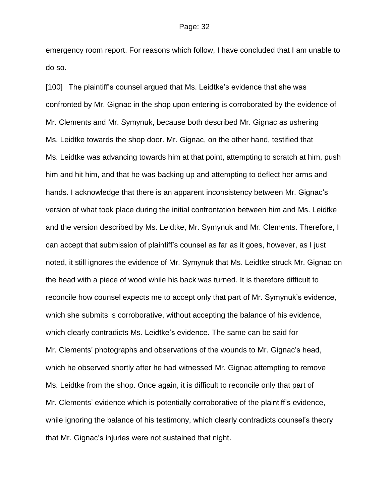emergency room report. For reasons which follow, I have concluded that I am unable to do so.

[100] The plaintiff's counsel argued that Ms. Leidtke's evidence that she was confronted by Mr. Gignac in the shop upon entering is corroborated by the evidence of Mr. Clements and Mr. Symynuk, because both described Mr. Gignac as ushering Ms. Leidtke towards the shop door. Mr. Gignac, on the other hand, testified that Ms. Leidtke was advancing towards him at that point, attempting to scratch at him, push him and hit him, and that he was backing up and attempting to deflect her arms and hands. I acknowledge that there is an apparent inconsistency between Mr. Gignac's version of what took place during the initial confrontation between him and Ms. Leidtke and the version described by Ms. Leidtke, Mr. Symynuk and Mr. Clements. Therefore, I can accept that submission of plaintiff's counsel as far as it goes, however, as I just noted, it still ignores the evidence of Mr. Symynuk that Ms. Leidtke struck Mr. Gignac on the head with a piece of wood while his back was turned. It is therefore difficult to reconcile how counsel expects me to accept only that part of Mr. Symynuk's evidence, which she submits is corroborative, without accepting the balance of his evidence, which clearly contradicts Ms. Leidtke's evidence. The same can be said for Mr. Clements' photographs and observations of the wounds to Mr. Gignac's head, which he observed shortly after he had witnessed Mr. Gignac attempting to remove Ms. Leidtke from the shop. Once again, it is difficult to reconcile only that part of Mr. Clements' evidence which is potentially corroborative of the plaintiff's evidence, while ignoring the balance of his testimony, which clearly contradicts counsel's theory that Mr. Gignac's injuries were not sustained that night.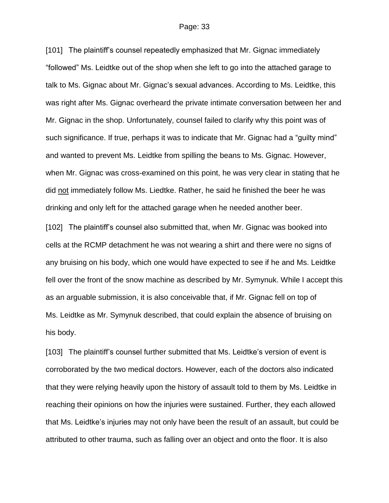[101] The plaintiff's counsel repeatedly emphasized that Mr. Gignac immediately "followed" Ms. Leidtke out of the shop when she left to go into the attached garage to talk to Ms. Gignac about Mr. Gignac's sexual advances. According to Ms. Leidtke, this was right after Ms. Gignac overheard the private intimate conversation between her and Mr. Gignac in the shop. Unfortunately, counsel failed to clarify why this point was of such significance. If true, perhaps it was to indicate that Mr. Gignac had a "guilty mind" and wanted to prevent Ms. Leidtke from spilling the beans to Ms. Gignac. However, when Mr. Gignac was cross-examined on this point, he was very clear in stating that he did not immediately follow Ms. Liedtke. Rather, he said he finished the beer he was drinking and only left for the attached garage when he needed another beer.

[102] The plaintiff's counsel also submitted that, when Mr. Gignac was booked into cells at the RCMP detachment he was not wearing a shirt and there were no signs of any bruising on his body, which one would have expected to see if he and Ms. Leidtke fell over the front of the snow machine as described by Mr. Symynuk. While I accept this as an arguable submission, it is also conceivable that, if Mr. Gignac fell on top of Ms. Leidtke as Mr. Symynuk described, that could explain the absence of bruising on his body.

[103] The plaintiff's counsel further submitted that Ms. Leidtke's version of event is corroborated by the two medical doctors. However, each of the doctors also indicated that they were relying heavily upon the history of assault told to them by Ms. Leidtke in reaching their opinions on how the injuries were sustained. Further, they each allowed that Ms. Leidtke's injuries may not only have been the result of an assault, but could be attributed to other trauma, such as falling over an object and onto the floor. It is also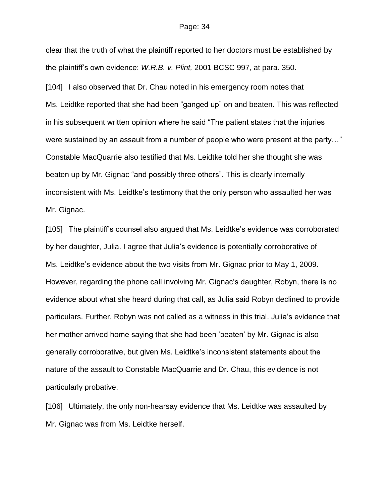clear that the truth of what the plaintiff reported to her doctors must be established by the plaintiff's own evidence: *W.R.B. v. Plint,* 2001 BCSC 997, at para. 350.

[104] I also observed that Dr. Chau noted in his emergency room notes that Ms. Leidtke reported that she had been "ganged up" on and beaten. This was reflected in his subsequent written opinion where he said "The patient states that the injuries were sustained by an assault from a number of people who were present at the party…" Constable MacQuarrie also testified that Ms. Leidtke told her she thought she was beaten up by Mr. Gignac "and possibly three others". This is clearly internally inconsistent with Ms. Leidtke's testimony that the only person who assaulted her was Mr. Gignac.

[105] The plaintiff's counsel also argued that Ms. Leidtke's evidence was corroborated by her daughter, Julia. I agree that Julia's evidence is potentially corroborative of Ms. Leidtke's evidence about the two visits from Mr. Gignac prior to May 1, 2009. However, regarding the phone call involving Mr. Gignac's daughter, Robyn, there is no evidence about what she heard during that call, as Julia said Robyn declined to provide particulars. Further, Robyn was not called as a witness in this trial. Julia's evidence that her mother arrived home saying that she had been 'beaten' by Mr. Gignac is also generally corroborative, but given Ms. Leidtke's inconsistent statements about the nature of the assault to Constable MacQuarrie and Dr. Chau, this evidence is not particularly probative.

[106] Ultimately, the only non-hearsay evidence that Ms. Leidtke was assaulted by Mr. Gignac was from Ms. Leidtke herself.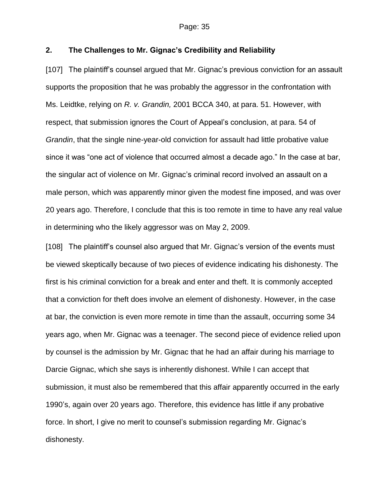## **2. The Challenges to Mr. Gignac's Credibility and Reliability**

[107] The plaintiff's counsel argued that Mr. Gignac's previous conviction for an assault supports the proposition that he was probably the aggressor in the confrontation with Ms. Leidtke, relying on *R. v. Grandin,* 2001 BCCA 340, at para. 51. However, with respect, that submission ignores the Court of Appeal's conclusion, at para. 54 of *Grandin*, that the single nine-year-old conviction for assault had little probative value since it was "one act of violence that occurred almost a decade ago." In the case at bar, the singular act of violence on Mr. Gignac's criminal record involved an assault on a male person, which was apparently minor given the modest fine imposed, and was over 20 years ago. Therefore, I conclude that this is too remote in time to have any real value in determining who the likely aggressor was on May 2, 2009.

[108] The plaintiff's counsel also argued that Mr. Gignac's version of the events must be viewed skeptically because of two pieces of evidence indicating his dishonesty. The first is his criminal conviction for a break and enter and theft. It is commonly accepted that a conviction for theft does involve an element of dishonesty. However, in the case at bar, the conviction is even more remote in time than the assault, occurring some 34 years ago, when Mr. Gignac was a teenager. The second piece of evidence relied upon by counsel is the admission by Mr. Gignac that he had an affair during his marriage to Darcie Gignac, which she says is inherently dishonest. While I can accept that submission, it must also be remembered that this affair apparently occurred in the early 1990's, again over 20 years ago. Therefore, this evidence has little if any probative force. In short, I give no merit to counsel's submission regarding Mr. Gignac's dishonesty.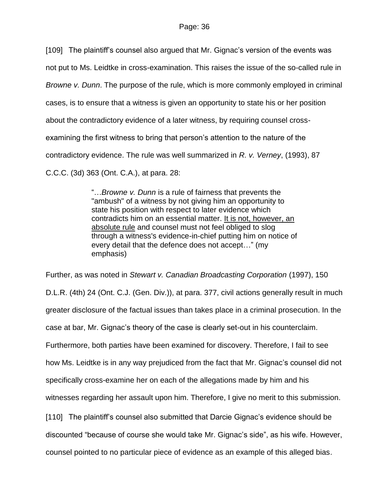[109] The plaintiff's counsel also argued that Mr. Gignac's version of the events was not put to Ms. Leidtke in cross-examination. This raises the issue of the so-called rule in *Browne v. Dunn*. The purpose of the rule, which is more commonly employed in criminal cases, is to ensure that a witness is given an opportunity to state his or her position about the contradictory evidence of a later witness, by requiring counsel crossexamining the first witness to bring that person's attention to the nature of the contradictory evidence. The rule was well summarized in *R. v. Verney*, (1993), 87 C.C.C. (3d) 363 (Ont. C.A.), at para. 28:

> "…*Browne v. Dunn* is a rule of fairness that prevents the "ambush" of a witness by not giving him an opportunity to state his position with respect to later evidence which contradicts him on an essential matter. It is not, however, an absolute rule and counsel must not feel obliged to slog through a witness's evidence-in-chief putting him on notice of every detail that the defence does not accept…" (my emphasis)

Further, as was noted in *Stewart v. Canadian Broadcasting Corporation* (1997), 150 D.L.R. (4th) 24 (Ont. C.J. (Gen. Div.)), at para. 377, civil actions generally result in much greater disclosure of the factual issues than takes place in a criminal prosecution. In the case at bar, Mr. Gignac's theory of the case is clearly set-out in his counterclaim. Furthermore, both parties have been examined for discovery. Therefore, I fail to see how Ms. Leidtke is in any way prejudiced from the fact that Mr. Gignac's counsel did not specifically cross-examine her on each of the allegations made by him and his witnesses regarding her assault upon him. Therefore, I give no merit to this submission. [110] The plaintiff's counsel also submitted that Darcie Gignac's evidence should be discounted "because of course she would take Mr. Gignac's side", as his wife. However, counsel pointed to no particular piece of evidence as an example of this alleged bias.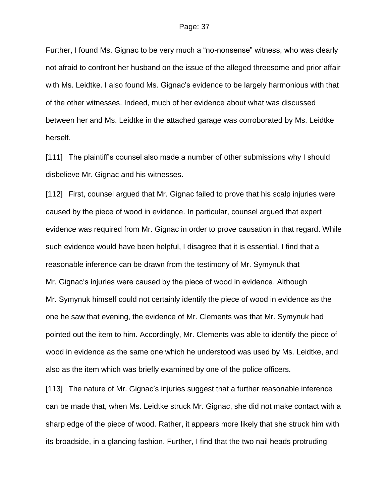Further, I found Ms. Gignac to be very much a "no-nonsense" witness, who was clearly not afraid to confront her husband on the issue of the alleged threesome and prior affair with Ms. Leidtke. I also found Ms. Gignac's evidence to be largely harmonious with that of the other witnesses. Indeed, much of her evidence about what was discussed between her and Ms. Leidtke in the attached garage was corroborated by Ms. Leidtke herself.

[111] The plaintiff's counsel also made a number of other submissions why I should disbelieve Mr. Gignac and his witnesses.

[112] First, counsel argued that Mr. Gignac failed to prove that his scalp injuries were caused by the piece of wood in evidence. In particular, counsel argued that expert evidence was required from Mr. Gignac in order to prove causation in that regard. While such evidence would have been helpful, I disagree that it is essential. I find that a reasonable inference can be drawn from the testimony of Mr. Symynuk that Mr. Gignac's injuries were caused by the piece of wood in evidence. Although Mr. Symynuk himself could not certainly identify the piece of wood in evidence as the one he saw that evening, the evidence of Mr. Clements was that Mr. Symynuk had pointed out the item to him. Accordingly, Mr. Clements was able to identify the piece of wood in evidence as the same one which he understood was used by Ms. Leidtke, and also as the item which was briefly examined by one of the police officers.

[113] The nature of Mr. Gignac's injuries suggest that a further reasonable inference can be made that, when Ms. Leidtke struck Mr. Gignac, she did not make contact with a sharp edge of the piece of wood. Rather, it appears more likely that she struck him with its broadside, in a glancing fashion. Further, I find that the two nail heads protruding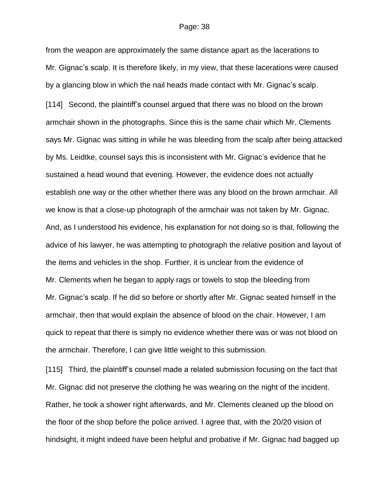from the weapon are approximately the same distance apart as the lacerations to Mr. Gignac's scalp. It is therefore likely, in my view, that these lacerations were caused by a glancing blow in which the nail heads made contact with Mr. Gignac's scalp. [114] Second, the plaintiff's counsel argued that there was no blood on the brown armchair shown in the photographs. Since this is the same chair which Mr. Clements says Mr. Gignac was sitting in while he was bleeding from the scalp after being attacked by Ms. Leidtke, counsel says this is inconsistent with Mr. Gignac's evidence that he sustained a head wound that evening. However, the evidence does not actually establish one way or the other whether there was any blood on the brown armchair. All we know is that a close-up photograph of the armchair was not taken by Mr. Gignac. And, as I understood his evidence, his explanation for not doing so is that, following the advice of his lawyer, he was attempting to photograph the relative position and layout of the items and vehicles in the shop. Further, it is unclear from the evidence of Mr. Clements when he began to apply rags or towels to stop the bleeding from Mr. Gignac's scalp. If he did so before or shortly after Mr. Gignac seated himself in the armchair, then that would explain the absence of blood on the chair. However, I am quick to repeat that there is simply no evidence whether there was or was not blood on the armchair. Therefore, I can give little weight to this submission.

[115] Third, the plaintiff's counsel made a related submission focusing on the fact that Mr. Gignac did not preserve the clothing he was wearing on the night of the incident. Rather, he took a shower right afterwards, and Mr. Clements cleaned up the blood on the floor of the shop before the police arrived. I agree that, with the 20/20 vision of hindsight, it might indeed have been helpful and probative if Mr. Gignac had bagged up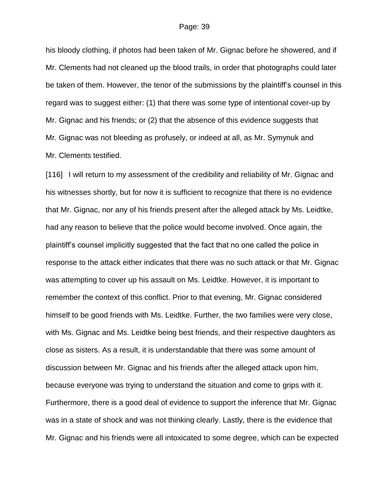his bloody clothing, if photos had been taken of Mr. Gignac before he showered, and if Mr. Clements had not cleaned up the blood trails, in order that photographs could later be taken of them. However, the tenor of the submissions by the plaintiff's counsel in this regard was to suggest either: (1) that there was some type of intentional cover-up by Mr. Gignac and his friends; or (2) that the absence of this evidence suggests that Mr. Gignac was not bleeding as profusely, or indeed at all, as Mr. Symynuk and Mr. Clements testified.

[116] I will return to my assessment of the credibility and reliability of Mr. Gignac and his witnesses shortly, but for now it is sufficient to recognize that there is no evidence that Mr. Gignac, nor any of his friends present after the alleged attack by Ms. Leidtke, had any reason to believe that the police would become involved. Once again, the plaintiff's counsel implicitly suggested that the fact that no one called the police in response to the attack either indicates that there was no such attack or that Mr. Gignac was attempting to cover up his assault on Ms. Leidtke. However, it is important to remember the context of this conflict. Prior to that evening, Mr. Gignac considered himself to be good friends with Ms. Leidtke. Further, the two families were very close, with Ms. Gignac and Ms. Leidtke being best friends, and their respective daughters as close as sisters. As a result, it is understandable that there was some amount of discussion between Mr. Gignac and his friends after the alleged attack upon him, because everyone was trying to understand the situation and come to grips with it. Furthermore, there is a good deal of evidence to support the inference that Mr. Gignac was in a state of shock and was not thinking clearly. Lastly, there is the evidence that Mr. Gignac and his friends were all intoxicated to some degree, which can be expected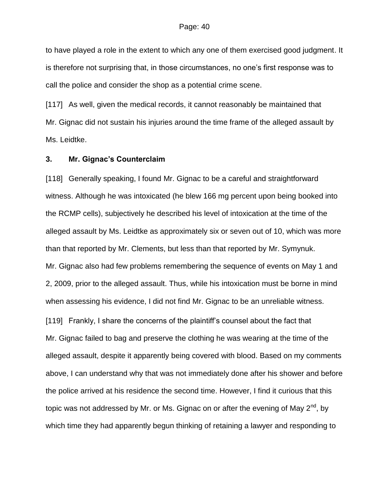to have played a role in the extent to which any one of them exercised good judgment. It is therefore not surprising that, in those circumstances, no one's first response was to call the police and consider the shop as a potential crime scene.

[117] As well, given the medical records, it cannot reasonably be maintained that Mr. Gignac did not sustain his injuries around the time frame of the alleged assault by Ms. Leidtke.

### **3. Mr. Gignac's Counterclaim**

[118] Generally speaking, I found Mr. Gignac to be a careful and straightforward witness. Although he was intoxicated (he blew 166 mg percent upon being booked into the RCMP cells), subjectively he described his level of intoxication at the time of the alleged assault by Ms. Leidtke as approximately six or seven out of 10, which was more than that reported by Mr. Clements, but less than that reported by Mr. Symynuk. Mr. Gignac also had few problems remembering the sequence of events on May 1 and 2, 2009, prior to the alleged assault. Thus, while his intoxication must be borne in mind when assessing his evidence, I did not find Mr. Gignac to be an unreliable witness.

[119] Frankly, I share the concerns of the plaintiff's counsel about the fact that Mr. Gignac failed to bag and preserve the clothing he was wearing at the time of the alleged assault, despite it apparently being covered with blood. Based on my comments above, I can understand why that was not immediately done after his shower and before the police arrived at his residence the second time. However, I find it curious that this topic was not addressed by Mr. or Ms. Gignac on or after the evening of May 2<sup>nd</sup>, by which time they had apparently begun thinking of retaining a lawyer and responding to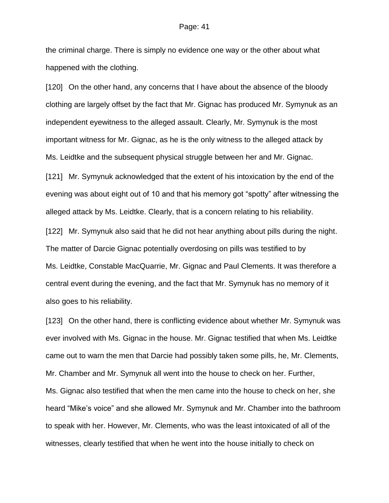the criminal charge. There is simply no evidence one way or the other about what happened with the clothing.

[120] On the other hand, any concerns that I have about the absence of the bloody clothing are largely offset by the fact that Mr. Gignac has produced Mr. Symynuk as an independent eyewitness to the alleged assault. Clearly, Mr. Symynuk is the most important witness for Mr. Gignac, as he is the only witness to the alleged attack by Ms. Leidtke and the subsequent physical struggle between her and Mr. Gignac.

[121] Mr. Symynuk acknowledged that the extent of his intoxication by the end of the evening was about eight out of 10 and that his memory got "spotty" after witnessing the alleged attack by Ms. Leidtke. Clearly, that is a concern relating to his reliability.

[122] Mr. Symynuk also said that he did not hear anything about pills during the night. The matter of Darcie Gignac potentially overdosing on pills was testified to by Ms. Leidtke, Constable MacQuarrie, Mr. Gignac and Paul Clements. It was therefore a central event during the evening, and the fact that Mr. Symynuk has no memory of it also goes to his reliability.

[123] On the other hand, there is conflicting evidence about whether Mr. Symynuk was ever involved with Ms. Gignac in the house. Mr. Gignac testified that when Ms. Leidtke came out to warn the men that Darcie had possibly taken some pills, he, Mr. Clements, Mr. Chamber and Mr. Symynuk all went into the house to check on her. Further, Ms. Gignac also testified that when the men came into the house to check on her, she heard "Mike's voice" and she allowed Mr. Symynuk and Mr. Chamber into the bathroom to speak with her. However, Mr. Clements, who was the least intoxicated of all of the witnesses, clearly testified that when he went into the house initially to check on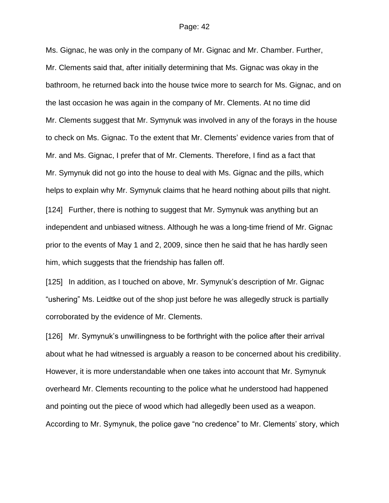Ms. Gignac, he was only in the company of Mr. Gignac and Mr. Chamber. Further, Mr. Clements said that, after initially determining that Ms. Gignac was okay in the bathroom, he returned back into the house twice more to search for Ms. Gignac, and on the last occasion he was again in the company of Mr. Clements. At no time did Mr. Clements suggest that Mr. Symynuk was involved in any of the forays in the house to check on Ms. Gignac. To the extent that Mr. Clements' evidence varies from that of Mr. and Ms. Gignac, I prefer that of Mr. Clements. Therefore, I find as a fact that Mr. Symynuk did not go into the house to deal with Ms. Gignac and the pills, which helps to explain why Mr. Symynuk claims that he heard nothing about pills that night. [124] Further, there is nothing to suggest that Mr. Symynuk was anything but an independent and unbiased witness. Although he was a long-time friend of Mr. Gignac prior to the events of May 1 and 2, 2009, since then he said that he has hardly seen him, which suggests that the friendship has fallen off.

[125] In addition, as I touched on above, Mr. Symynuk's description of Mr. Gignac "ushering" Ms. Leidtke out of the shop just before he was allegedly struck is partially corroborated by the evidence of Mr. Clements.

[126] Mr. Symynuk's unwillingness to be forthright with the police after their arrival about what he had witnessed is arguably a reason to be concerned about his credibility. However, it is more understandable when one takes into account that Mr. Symynuk overheard Mr. Clements recounting to the police what he understood had happened and pointing out the piece of wood which had allegedly been used as a weapon. According to Mr. Symynuk, the police gave "no credence" to Mr. Clements' story, which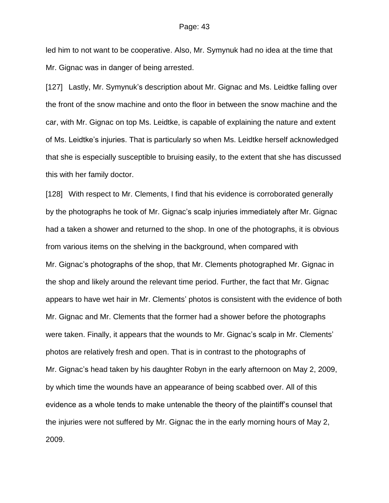led him to not want to be cooperative. Also, Mr. Symynuk had no idea at the time that Mr. Gignac was in danger of being arrested.

[127] Lastly, Mr. Symynuk's description about Mr. Gignac and Ms. Leidtke falling over the front of the snow machine and onto the floor in between the snow machine and the car, with Mr. Gignac on top Ms. Leidtke, is capable of explaining the nature and extent of Ms. Leidtke's injuries. That is particularly so when Ms. Leidtke herself acknowledged that she is especially susceptible to bruising easily, to the extent that she has discussed this with her family doctor.

[128] With respect to Mr. Clements, I find that his evidence is corroborated generally by the photographs he took of Mr. Gignac's scalp injuries immediately after Mr. Gignac had a taken a shower and returned to the shop. In one of the photographs, it is obvious from various items on the shelving in the background, when compared with Mr. Gignac's photographs of the shop, that Mr. Clements photographed Mr. Gignac in the shop and likely around the relevant time period. Further, the fact that Mr. Gignac appears to have wet hair in Mr. Clements' photos is consistent with the evidence of both Mr. Gignac and Mr. Clements that the former had a shower before the photographs were taken. Finally, it appears that the wounds to Mr. Gignac's scalp in Mr. Clements' photos are relatively fresh and open. That is in contrast to the photographs of Mr. Gignac's head taken by his daughter Robyn in the early afternoon on May 2, 2009, by which time the wounds have an appearance of being scabbed over. All of this evidence as a whole tends to make untenable the theory of the plaintiff's counsel that the injuries were not suffered by Mr. Gignac the in the early morning hours of May 2, 2009.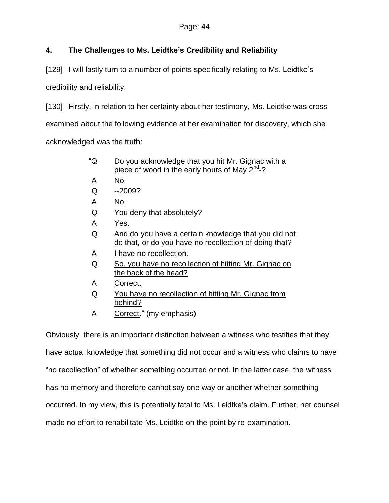# **4. The Challenges to Ms. Leidtke's Credibility and Reliability**

[129] I will lastly turn to a number of points specifically relating to Ms. Leidtke's

credibility and reliability.

[130] Firstly, in relation to her certainty about her testimony, Ms. Leidtke was crossexamined about the following evidence at her examination for discovery, which she acknowledged was the truth:

- "Q Do you acknowledge that you hit Mr. Gignac with a piece of wood in the early hours of May 2<sup>nd</sup>-?
- A No.
- $Q -2009?$
- A No.
- Q You deny that absolutely?
- A Yes.
- Q And do you have a certain knowledge that you did not do that, or do you have no recollection of doing that?
- A I have no recollection.
- Q So, you have no recollection of hitting Mr. Gignac on the back of the head?
- A Correct.
- Q You have no recollection of hitting Mr. Gignac from behind?
- A Correct." (my emphasis)

Obviously, there is an important distinction between a witness who testifies that they

have actual knowledge that something did not occur and a witness who claims to have

"no recollection" of whether something occurred or not. In the latter case, the witness

has no memory and therefore cannot say one way or another whether something

occurred. In my view, this is potentially fatal to Ms. Leidtke's claim. Further, her counsel

made no effort to rehabilitate Ms. Leidtke on the point by re-examination.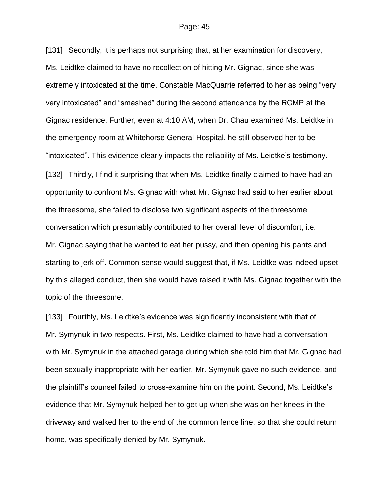[131] Secondly, it is perhaps not surprising that, at her examination for discovery, Ms. Leidtke claimed to have no recollection of hitting Mr. Gignac, since she was extremely intoxicated at the time. Constable MacQuarrie referred to her as being "very very intoxicated" and "smashed" during the second attendance by the RCMP at the Gignac residence. Further, even at 4:10 AM, when Dr. Chau examined Ms. Leidtke in the emergency room at Whitehorse General Hospital, he still observed her to be "intoxicated". This evidence clearly impacts the reliability of Ms. Leidtke's testimony. [132] Thirdly, I find it surprising that when Ms. Leidtke finally claimed to have had an opportunity to confront Ms. Gignac with what Mr. Gignac had said to her earlier about the threesome, she failed to disclose two significant aspects of the threesome conversation which presumably contributed to her overall level of discomfort, i.e. Mr. Gignac saying that he wanted to eat her pussy, and then opening his pants and starting to jerk off. Common sense would suggest that, if Ms. Leidtke was indeed upset by this alleged conduct, then she would have raised it with Ms. Gignac together with the topic of the threesome.

[133] Fourthly, Ms. Leidtke's evidence was significantly inconsistent with that of Mr. Symynuk in two respects. First, Ms. Leidtke claimed to have had a conversation with Mr. Symynuk in the attached garage during which she told him that Mr. Gignac had been sexually inappropriate with her earlier. Mr. Symynuk gave no such evidence, and the plaintiff's counsel failed to cross-examine him on the point. Second, Ms. Leidtke's evidence that Mr. Symynuk helped her to get up when she was on her knees in the driveway and walked her to the end of the common fence line, so that she could return home, was specifically denied by Mr. Symynuk.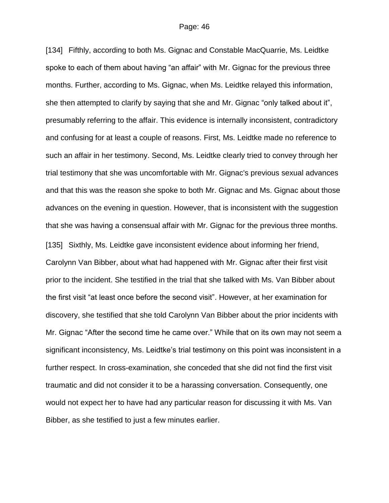[134] Fifthly, according to both Ms. Gignac and Constable MacQuarrie, Ms. Leidtke spoke to each of them about having "an affair" with Mr. Gignac for the previous three months. Further, according to Ms. Gignac, when Ms. Leidtke relayed this information, she then attempted to clarify by saying that she and Mr. Gignac "only talked about it", presumably referring to the affair. This evidence is internally inconsistent, contradictory and confusing for at least a couple of reasons. First, Ms. Leidtke made no reference to such an affair in her testimony. Second, Ms. Leidtke clearly tried to convey through her trial testimony that she was uncomfortable with Mr. Gignac's previous sexual advances and that this was the reason she spoke to both Mr. Gignac and Ms. Gignac about those advances on the evening in question. However, that is inconsistent with the suggestion that she was having a consensual affair with Mr. Gignac for the previous three months. [135] Sixthly, Ms. Leidtke gave inconsistent evidence about informing her friend, Carolynn Van Bibber, about what had happened with Mr. Gignac after their first visit prior to the incident. She testified in the trial that she talked with Ms. Van Bibber about the first visit "at least once before the second visit". However, at her examination for discovery, she testified that she told Carolynn Van Bibber about the prior incidents with Mr. Gignac "After the second time he came over." While that on its own may not seem a significant inconsistency, Ms. Leidtke's trial testimony on this point was inconsistent in a further respect. In cross-examination, she conceded that she did not find the first visit traumatic and did not consider it to be a harassing conversation. Consequently, one would not expect her to have had any particular reason for discussing it with Ms. Van Bibber, as she testified to just a few minutes earlier.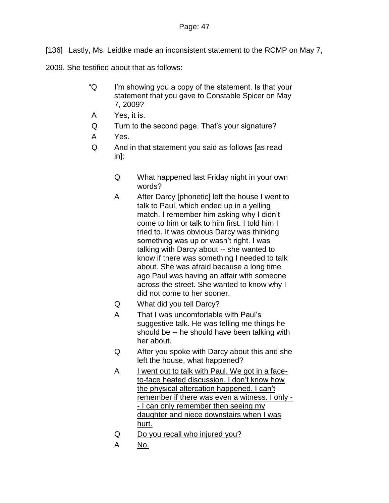[136] Lastly, Ms. Leidtke made an inconsistent statement to the RCMP on May 7,

2009. She testified about that as follows:

- "Q I'm showing you a copy of the statement. Is that your statement that you gave to Constable Spicer on May 7, 2009?
- A Yes, it is.
- Q Turn to the second page. That's your signature?
- A Yes.
- Q And in that statement you said as follows [as read in]:
	- Q What happened last Friday night in your own words?
	- A After Darcy [phonetic] left the house I went to talk to Paul, which ended up in a yelling match. I remember him asking why I didn't come to him or talk to him first. I told him I tried to. It was obvious Darcy was thinking something was up or wasn't right. I was talking with Darcy about -- she wanted to know if there was something I needed to talk about. She was afraid because a long time ago Paul was having an affair with someone across the street. She wanted to know why I did not come to her sooner.
	- Q What did you tell Darcy?
	- A That I was uncomfortable with Paul's suggestive talk. He was telling me things he should be -- he should have been talking with her about.
	- Q After you spoke with Darcy about this and she left the house, what happened?
	- A I went out to talk with Paul. We got in a faceto-face heated discussion. I don't know how the physical altercation happened. I can't remember if there was even a witness. I only -- I can only remember then seeing my daughter and niece downstairs when I was hurt.
	- Q Do you recall who injured you?
	- A No.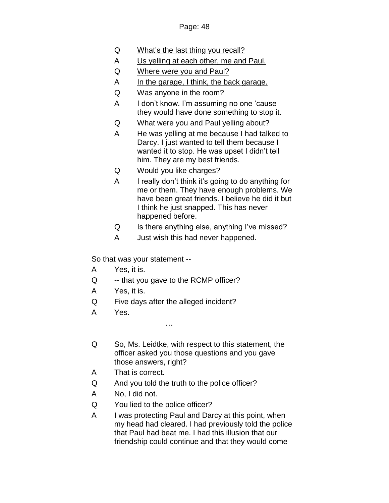- Q What's the last thing you recall?
- A Us yelling at each other, me and Paul.
- Q Where were you and Paul?
- A In the garage, I think, the back garage.
- Q Was anyone in the room?
- A I don't know. I'm assuming no one 'cause they would have done something to stop it.
- Q What were you and Paul yelling about?
- A He was yelling at me because I had talked to Darcy. I just wanted to tell them because I wanted it to stop. He was upset I didn't tell him. They are my best friends.
- Q Would you like charges?
- A I really don't think it's going to do anything for me or them. They have enough problems. We have been great friends. I believe he did it but I think he just snapped. This has never happened before.
- Q Is there anything else, anything I've missed?
- A Just wish this had never happened.

So that was your statement --

- A Yes, it is.
- Q -- that you gave to the RCMP officer?
- A Yes, it is.
- Q Five days after the alleged incident?

…

- A Yes.
- Q So, Ms. Leidtke, with respect to this statement, the officer asked you those questions and you gave those answers, right?
- A That is correct.
- Q And you told the truth to the police officer?
- A No, I did not.
- Q You lied to the police officer?
- A I was protecting Paul and Darcy at this point, when my head had cleared. I had previously told the police that Paul had beat me. I had this illusion that our friendship could continue and that they would come